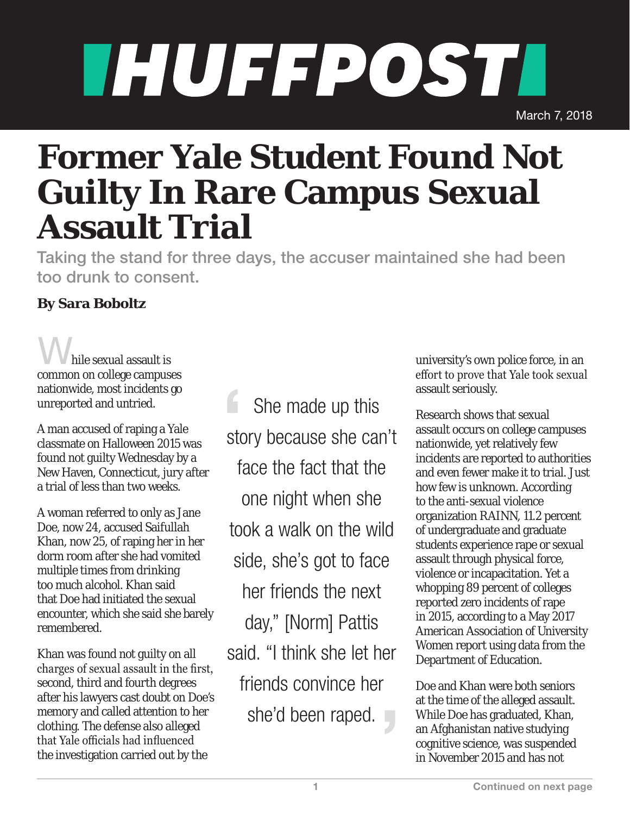## THUFFPOSTI March 7, 2018

## **Former Yale Student Found Not Guilty In Rare Campus Sexual Assault Trial**

Taking the stand for three days, the accuser maintained she had been too drunk to consent.

## **By Sara Boboltz**

hile sexual assault is common on college campuses nationwide, most incidents go unreported and untried.

A man accused of raping a Yale classmate on Halloween 2015 was found not guilty Wednesday by a New Haven, Connecticut, jury after a trial of less than two weeks.

A woman referred to only as Jane Doe, now 24, accused Saifullah Khan, now 25, of raping her in her dorm room after she had vomited multiple times from drinking too much alcohol. Khan said that Doe had initiated the sexual encounter, which she said she barely remembered.

Khan was found not guilty on all charges of sexual assault in the first, second, third and fourth degrees after his lawyers cast doubt on Doe's memory and called attention to her clothing. The defense also alleged that Yale officials had influenced the investigation carried out by the

 She made up this story because she can't face the fact that the one night when she took a walk on the wild side, she's got to face her friends the next day," [Norm] Pattis said. "I think she let her friends convince her she'd been raped.

university's own police force, in an effort to prove that Yale took sexual assault seriously.

Research shows that sexual assault occurs on college campuses nationwide, yet relatively few incidents are reported to authorities and even fewer make it to trial. Just how few is unknown. According to the anti-sexual violence organization RAINN, 11.2 percent of undergraduate and graduate students experience rape or sexual assault through physical force, violence or incapacitation. Yet a whopping 89 percent of colleges reported zero incidents of rape in 2015, according to a May 2017 American Association of University Women report using data from the Department of Education.

Doe and Khan were both seniors at the time of the alleged assault. While Doe has graduated, Khan, an Afghanistan native studying cognitive science, was suspended in November 2015 and has not